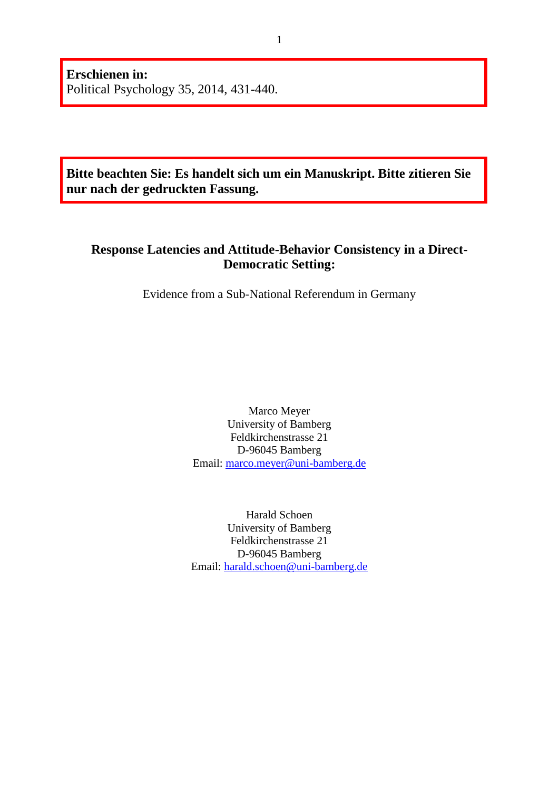**Erschienen in:** Political Psychology 35, 2014, 431-440.

**Bitte beachten Sie: Es handelt sich um ein Manuskript. Bitte zitieren Sie nur nach der gedruckten Fassung.**

# **Response Latencies and Attitude-Behavior Consistency in a Direct-Democratic Setting:**

Evidence from a Sub-National Referendum in Germany

Marco Meyer University of Bamberg Feldkirchenstrasse 21 D-96045 Bamberg Email: [marco.meyer@uni-bamberg.de](mailto:marco.meyer@uni-bamberg.de)

Harald Schoen University of Bamberg Feldkirchenstrasse 21 D-96045 Bamberg Email: [harald.schoen@uni-bamberg.de](mailto:harald.schoen@uni-bamberg.de)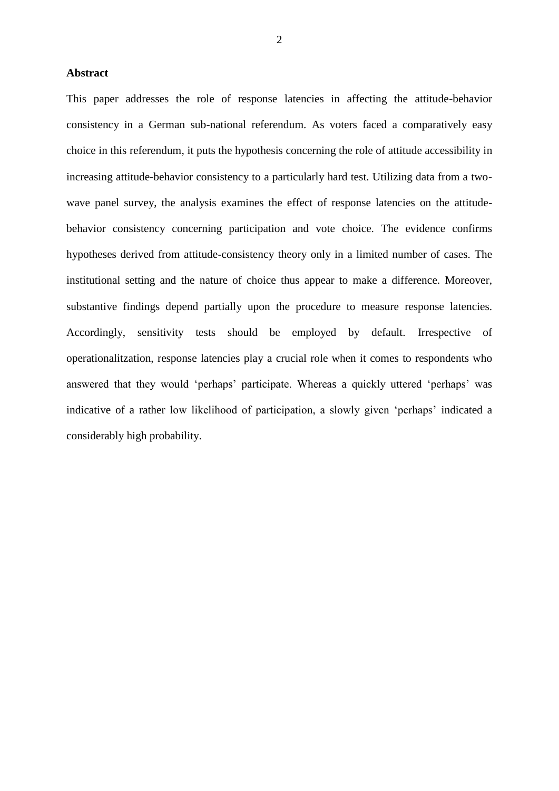#### **Abstract**

This paper addresses the role of response latencies in affecting the attitude-behavior consistency in a German sub-national referendum. As voters faced a comparatively easy choice in this referendum, it puts the hypothesis concerning the role of attitude accessibility in increasing attitude-behavior consistency to a particularly hard test. Utilizing data from a twowave panel survey, the analysis examines the effect of response latencies on the attitudebehavior consistency concerning participation and vote choice. The evidence confirms hypotheses derived from attitude-consistency theory only in a limited number of cases. The institutional setting and the nature of choice thus appear to make a difference. Moreover, substantive findings depend partially upon the procedure to measure response latencies. Accordingly, sensitivity tests should be employed by default. Irrespective of operationalitzation, response latencies play a crucial role when it comes to respondents who answered that they would 'perhaps' participate. Whereas a quickly uttered 'perhaps' was indicative of a rather low likelihood of participation, a slowly given 'perhaps' indicated a considerably high probability.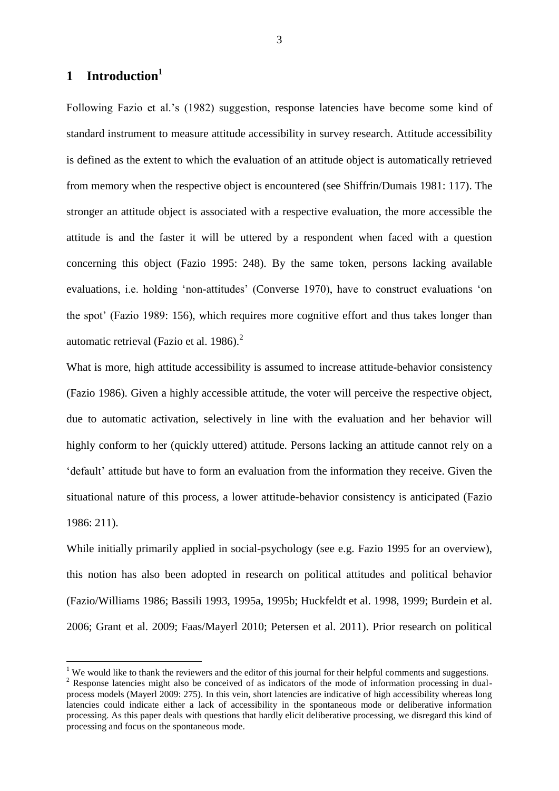## **1 Introduction<sup>1</sup>**

1

Following Fazio et al.'s (1982) suggestion, response latencies have become some kind of standard instrument to measure attitude accessibility in survey research. Attitude accessibility is defined as the extent to which the evaluation of an attitude object is automatically retrieved from memory when the respective object is encountered (see Shiffrin/Dumais 1981: 117). The stronger an attitude object is associated with a respective evaluation, the more accessible the attitude is and the faster it will be uttered by a respondent when faced with a question concerning this object (Fazio 1995: 248). By the same token, persons lacking available evaluations, i.e. holding 'non-attitudes' (Converse 1970), have to construct evaluations 'on the spot' (Fazio 1989: 156), which requires more cognitive effort and thus takes longer than automatic retrieval (Fazio et al. 1986). $<sup>2</sup>$ </sup>

What is more, high attitude accessibility is assumed to increase attitude-behavior consistency (Fazio 1986). Given a highly accessible attitude, the voter will perceive the respective object, due to automatic activation, selectively in line with the evaluation and her behavior will highly conform to her (quickly uttered) attitude. Persons lacking an attitude cannot rely on a 'default' attitude but have to form an evaluation from the information they receive. Given the situational nature of this process, a lower attitude-behavior consistency is anticipated (Fazio 1986: 211).

While initially primarily applied in social-psychology (see e.g. Fazio 1995 for an overview), this notion has also been adopted in research on political attitudes and political behavior (Fazio/Williams 1986; Bassili 1993, 1995a, 1995b; Huckfeldt et al. 1998, 1999; Burdein et al. 2006; Grant et al. 2009; Faas/Mayerl 2010; Petersen et al. 2011). Prior research on political

<sup>&</sup>lt;sup>1</sup> We would like to thank the reviewers and the editor of this journal for their helpful comments and suggestions.

<sup>&</sup>lt;sup>2</sup> Response latencies might also be conceived of as indicators of the mode of information processing in dualprocess models (Mayerl 2009: 275). In this vein, short latencies are indicative of high accessibility whereas long latencies could indicate either a lack of accessibility in the spontaneous mode or deliberative information processing. As this paper deals with questions that hardly elicit deliberative processing, we disregard this kind of processing and focus on the spontaneous mode.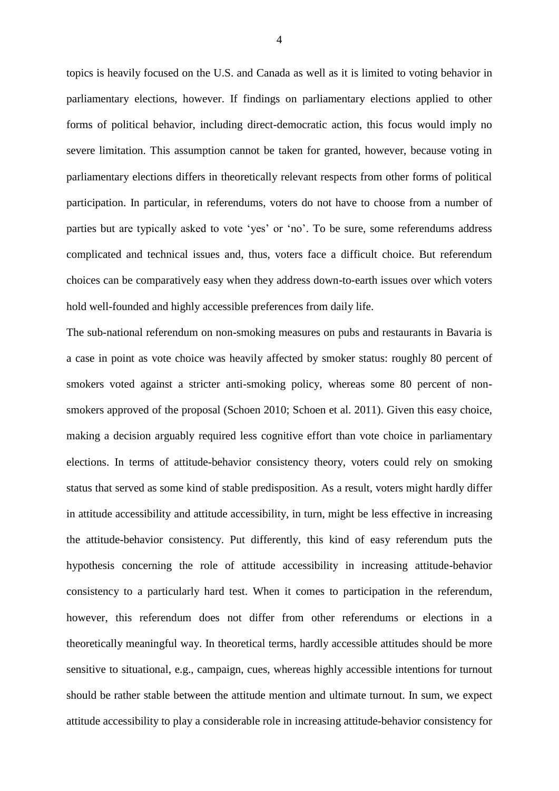topics is heavily focused on the U.S. and Canada as well as it is limited to voting behavior in parliamentary elections, however. If findings on parliamentary elections applied to other forms of political behavior, including direct-democratic action, this focus would imply no severe limitation. This assumption cannot be taken for granted, however, because voting in parliamentary elections differs in theoretically relevant respects from other forms of political participation. In particular, in referendums, voters do not have to choose from a number of parties but are typically asked to vote 'yes' or 'no'. To be sure, some referendums address complicated and technical issues and, thus, voters face a difficult choice. But referendum choices can be comparatively easy when they address down-to-earth issues over which voters hold well-founded and highly accessible preferences from daily life.

The sub-national referendum on non-smoking measures on pubs and restaurants in Bavaria is a case in point as vote choice was heavily affected by smoker status: roughly 80 percent of smokers voted against a stricter anti-smoking policy, whereas some 80 percent of nonsmokers approved of the proposal (Schoen 2010; Schoen et al. 2011). Given this easy choice, making a decision arguably required less cognitive effort than vote choice in parliamentary elections. In terms of attitude-behavior consistency theory, voters could rely on smoking status that served as some kind of stable predisposition. As a result, voters might hardly differ in attitude accessibility and attitude accessibility, in turn, might be less effective in increasing the attitude-behavior consistency. Put differently, this kind of easy referendum puts the hypothesis concerning the role of attitude accessibility in increasing attitude-behavior consistency to a particularly hard test. When it comes to participation in the referendum, however, this referendum does not differ from other referendums or elections in a theoretically meaningful way. In theoretical terms, hardly accessible attitudes should be more sensitive to situational, e.g., campaign, cues, whereas highly accessible intentions for turnout should be rather stable between the attitude mention and ultimate turnout. In sum, we expect attitude accessibility to play a considerable role in increasing attitude-behavior consistency for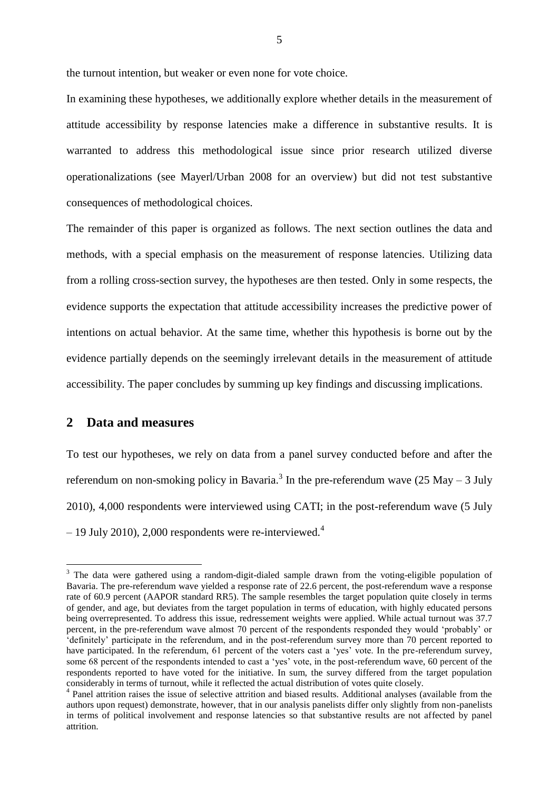the turnout intention, but weaker or even none for vote choice.

In examining these hypotheses, we additionally explore whether details in the measurement of attitude accessibility by response latencies make a difference in substantive results. It is warranted to address this methodological issue since prior research utilized diverse operationalizations (see Mayerl/Urban 2008 for an overview) but did not test substantive consequences of methodological choices.

The remainder of this paper is organized as follows. The next section outlines the data and methods, with a special emphasis on the measurement of response latencies. Utilizing data from a rolling cross-section survey, the hypotheses are then tested. Only in some respects, the evidence supports the expectation that attitude accessibility increases the predictive power of intentions on actual behavior. At the same time, whether this hypothesis is borne out by the evidence partially depends on the seemingly irrelevant details in the measurement of attitude accessibility. The paper concludes by summing up key findings and discussing implications.

## **2 Data and measures**

<u>.</u>

To test our hypotheses, we rely on data from a panel survey conducted before and after the referendum on non-smoking policy in Bavaria.<sup>3</sup> In the pre-referendum wave (25 May – 3 July 2010), 4,000 respondents were interviewed using CATI; in the post-referendum wave (5 July  $-19$  July 2010), 2,000 respondents were re-interviewed.<sup>4</sup>

<sup>&</sup>lt;sup>3</sup> The data were gathered using a random-digit-dialed sample drawn from the voting-eligible population of Bavaria. The pre-referendum wave yielded a response rate of 22.6 percent, the post-referendum wave a response rate of 60.9 percent (AAPOR standard RR5). The sample resembles the target population quite closely in terms of gender, and age, but deviates from the target population in terms of education, with highly educated persons being overrepresented. To address this issue, redressement weights were applied. While actual turnout was 37.7 percent, in the pre-referendum wave almost 70 percent of the respondents responded they would 'probably' or 'definitely' participate in the referendum, and in the post-referendum survey more than 70 percent reported to have participated. In the referendum, 61 percent of the voters cast a 'yes' vote. In the pre-referendum survey, some 68 percent of the respondents intended to cast a 'yes' vote, in the post-referendum wave, 60 percent of the respondents reported to have voted for the initiative. In sum, the survey differed from the target population considerably in terms of turnout, while it reflected the actual distribution of votes quite closely.

<sup>&</sup>lt;sup>4</sup> Panel attrition raises the issue of selective attrition and biased results. Additional analyses (available from the authors upon request) demonstrate, however, that in our analysis panelists differ only slightly from non-panelists in terms of political involvement and response latencies so that substantive results are not affected by panel attrition.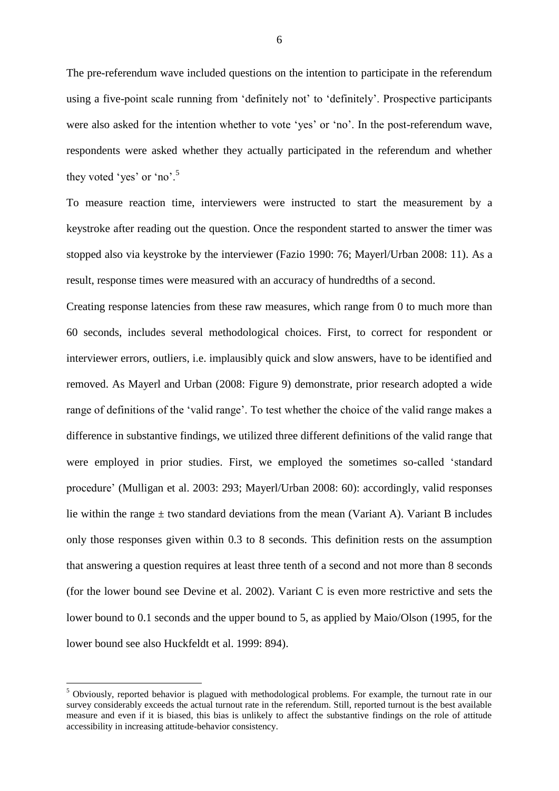The pre-referendum wave included questions on the intention to participate in the referendum using a five-point scale running from 'definitely not' to 'definitely'. Prospective participants were also asked for the intention whether to vote 'yes' or 'no'. In the post-referendum wave, respondents were asked whether they actually participated in the referendum and whether they voted 'yes' or 'no'.<sup>5</sup>

To measure reaction time, interviewers were instructed to start the measurement by a keystroke after reading out the question. Once the respondent started to answer the timer was stopped also via keystroke by the interviewer (Fazio 1990: 76; Mayerl/Urban 2008: 11). As a result, response times were measured with an accuracy of hundredths of a second.

Creating response latencies from these raw measures, which range from 0 to much more than 60 seconds, includes several methodological choices. First, to correct for respondent or interviewer errors, outliers, i.e. implausibly quick and slow answers, have to be identified and removed. As Mayerl and Urban (2008: Figure 9) demonstrate, prior research adopted a wide range of definitions of the 'valid range'. To test whether the choice of the valid range makes a difference in substantive findings, we utilized three different definitions of the valid range that were employed in prior studies. First, we employed the sometimes so-called 'standard procedure' (Mulligan et al. 2003: 293; Mayerl/Urban 2008: 60): accordingly, valid responses lie within the range  $\pm$  two standard deviations from the mean (Variant A). Variant B includes only those responses given within 0.3 to 8 seconds. This definition rests on the assumption that answering a question requires at least three tenth of a second and not more than 8 seconds (for the lower bound see Devine et al. 2002). Variant C is even more restrictive and sets the lower bound to 0.1 seconds and the upper bound to 5, as applied by Maio/Olson (1995, for the lower bound see also Huckfeldt et al. 1999: 894).

1

6

 $<sup>5</sup>$  Obviously, reported behavior is plagued with methodological problems. For example, the turnout rate in our</sup> survey considerably exceeds the actual turnout rate in the referendum. Still, reported turnout is the best available measure and even if it is biased, this bias is unlikely to affect the substantive findings on the role of attitude accessibility in increasing attitude-behavior consistency.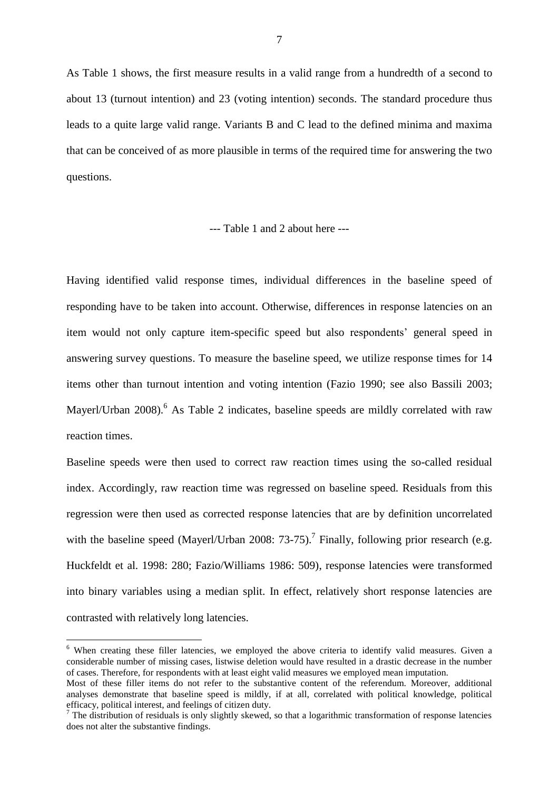As Table 1 shows, the first measure results in a valid range from a hundredth of a second to about 13 (turnout intention) and 23 (voting intention) seconds. The standard procedure thus leads to a quite large valid range. Variants B and C lead to the defined minima and maxima that can be conceived of as more plausible in terms of the required time for answering the two questions.

#### --- Table 1 and 2 about here ---

Having identified valid response times, individual differences in the baseline speed of responding have to be taken into account. Otherwise, differences in response latencies on an item would not only capture item-specific speed but also respondents' general speed in answering survey questions. To measure the baseline speed, we utilize response times for 14 items other than turnout intention and voting intention (Fazio 1990; see also Bassili 2003; Mayerl/Urban 2008).<sup>6</sup> As Table 2 indicates, baseline speeds are mildly correlated with raw reaction times.

Baseline speeds were then used to correct raw reaction times using the so-called residual index. Accordingly, raw reaction time was regressed on baseline speed. Residuals from this regression were then used as corrected response latencies that are by definition uncorrelated with the baseline speed (Mayerl/Urban 2008: 73-75).<sup>7</sup> Finally, following prior research (e.g. Huckfeldt et al. 1998: 280; Fazio/Williams 1986: 509), response latencies were transformed into binary variables using a median split. In effect, relatively short response latencies are contrasted with relatively long latencies.

1

<sup>&</sup>lt;sup>6</sup> When creating these filler latencies, we employed the above criteria to identify valid measures. Given a considerable number of missing cases, listwise deletion would have resulted in a drastic decrease in the number of cases. Therefore, for respondents with at least eight valid measures we employed mean imputation.

Most of these filler items do not refer to the substantive content of the referendum. Moreover, additional analyses demonstrate that baseline speed is mildly, if at all, correlated with political knowledge, political efficacy, political interest, and feelings of citizen duty.

<sup>&</sup>lt;sup>7</sup> The distribution of residuals is only slightly skewed, so that a logarithmic transformation of response latencies does not alter the substantive findings.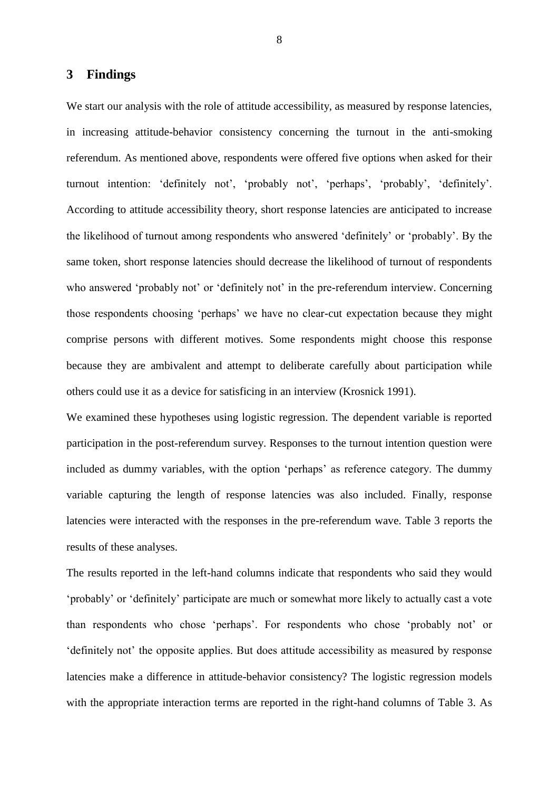### **3 Findings**

We start our analysis with the role of attitude accessibility, as measured by response latencies, in increasing attitude-behavior consistency concerning the turnout in the anti-smoking referendum. As mentioned above, respondents were offered five options when asked for their turnout intention: 'definitely not', 'probably not', 'perhaps', 'probably', 'definitely'. According to attitude accessibility theory, short response latencies are anticipated to increase the likelihood of turnout among respondents who answered 'definitely' or 'probably'. By the same token, short response latencies should decrease the likelihood of turnout of respondents who answered 'probably not' or 'definitely not' in the pre-referendum interview. Concerning those respondents choosing 'perhaps' we have no clear-cut expectation because they might comprise persons with different motives. Some respondents might choose this response because they are ambivalent and attempt to deliberate carefully about participation while others could use it as a device for satisficing in an interview (Krosnick 1991).

We examined these hypotheses using logistic regression. The dependent variable is reported participation in the post-referendum survey. Responses to the turnout intention question were included as dummy variables, with the option 'perhaps' as reference category. The dummy variable capturing the length of response latencies was also included. Finally, response latencies were interacted with the responses in the pre-referendum wave. Table 3 reports the results of these analyses.

The results reported in the left-hand columns indicate that respondents who said they would 'probably' or 'definitely' participate are much or somewhat more likely to actually cast a vote than respondents who chose 'perhaps'. For respondents who chose 'probably not' or 'definitely not' the opposite applies. But does attitude accessibility as measured by response latencies make a difference in attitude-behavior consistency? The logistic regression models with the appropriate interaction terms are reported in the right-hand columns of Table 3. As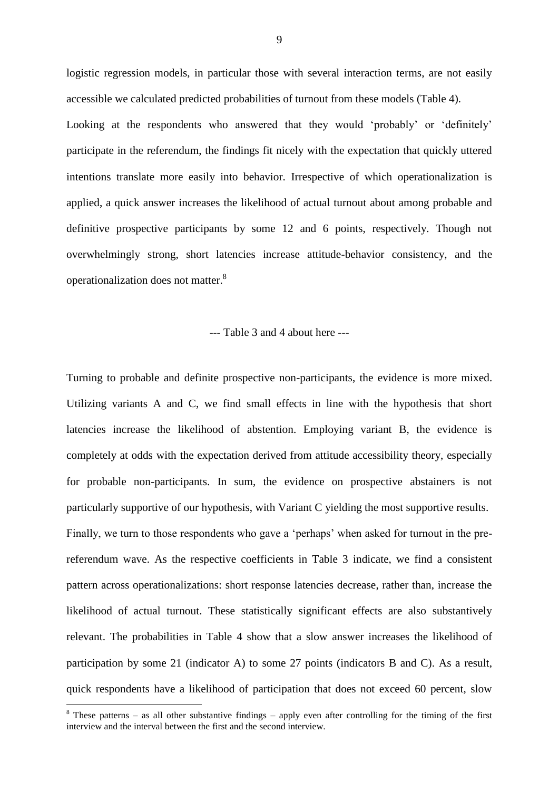logistic regression models, in particular those with several interaction terms, are not easily accessible we calculated predicted probabilities of turnout from these models (Table 4). Looking at the respondents who answered that they would 'probably' or 'definitely' participate in the referendum, the findings fit nicely with the expectation that quickly uttered intentions translate more easily into behavior. Irrespective of which operationalization is applied, a quick answer increases the likelihood of actual turnout about among probable and definitive prospective participants by some 12 and 6 points, respectively. Though not overwhelmingly strong, short latencies increase attitude-behavior consistency, and the operationalization does not matter.<sup>8</sup>

#### --- Table 3 and 4 about here ---

Turning to probable and definite prospective non-participants, the evidence is more mixed. Utilizing variants A and C, we find small effects in line with the hypothesis that short latencies increase the likelihood of abstention. Employing variant B, the evidence is completely at odds with the expectation derived from attitude accessibility theory, especially for probable non-participants. In sum, the evidence on prospective abstainers is not particularly supportive of our hypothesis, with Variant C yielding the most supportive results. Finally, we turn to those respondents who gave a 'perhaps' when asked for turnout in the prereferendum wave. As the respective coefficients in Table 3 indicate, we find a consistent pattern across operationalizations: short response latencies decrease, rather than, increase the likelihood of actual turnout. These statistically significant effects are also substantively relevant. The probabilities in Table 4 show that a slow answer increases the likelihood of participation by some 21 (indicator A) to some 27 points (indicators B and C). As a result, quick respondents have a likelihood of participation that does not exceed 60 percent, slow

1

<sup>&</sup>lt;sup>8</sup> These patterns – as all other substantive findings – apply even after controlling for the timing of the first interview and the interval between the first and the second interview.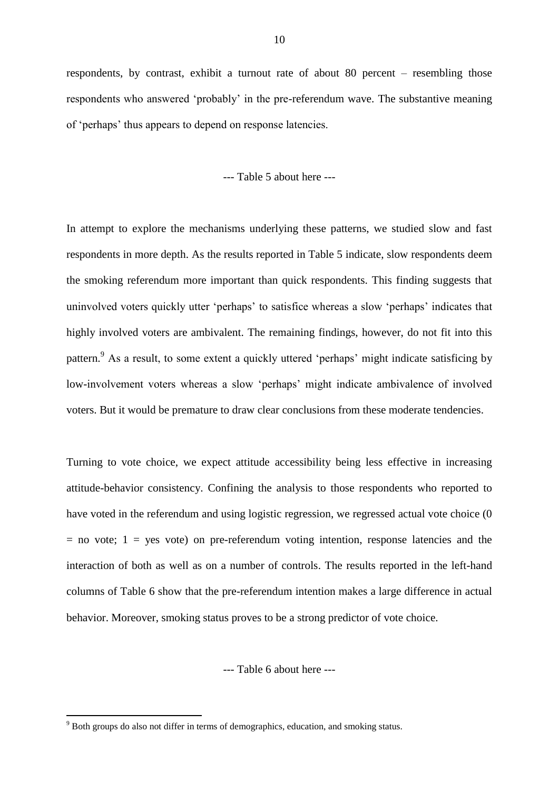respondents, by contrast, exhibit a turnout rate of about 80 percent – resembling those respondents who answered 'probably' in the pre-referendum wave. The substantive meaning of 'perhaps' thus appears to depend on response latencies.

--- Table 5 about here ---

In attempt to explore the mechanisms underlying these patterns, we studied slow and fast respondents in more depth. As the results reported in Table 5 indicate, slow respondents deem the smoking referendum more important than quick respondents. This finding suggests that uninvolved voters quickly utter 'perhaps' to satisfice whereas a slow 'perhaps' indicates that highly involved voters are ambivalent. The remaining findings, however, do not fit into this pattern.<sup>9</sup> As a result, to some extent a quickly uttered 'perhaps' might indicate satisficing by low-involvement voters whereas a slow 'perhaps' might indicate ambivalence of involved voters. But it would be premature to draw clear conclusions from these moderate tendencies.

Turning to vote choice, we expect attitude accessibility being less effective in increasing attitude-behavior consistency. Confining the analysis to those respondents who reported to have voted in the referendum and using logistic regression, we regressed actual vote choice (0  $=$  no vote; 1 = yes vote) on pre-referendum voting intention, response latencies and the interaction of both as well as on a number of controls. The results reported in the left-hand columns of Table 6 show that the pre-referendum intention makes a large difference in actual behavior. Moreover, smoking status proves to be a strong predictor of vote choice.

--- Table 6 about here ---

1

<sup>&</sup>lt;sup>9</sup> Both groups do also not differ in terms of demographics, education, and smoking status.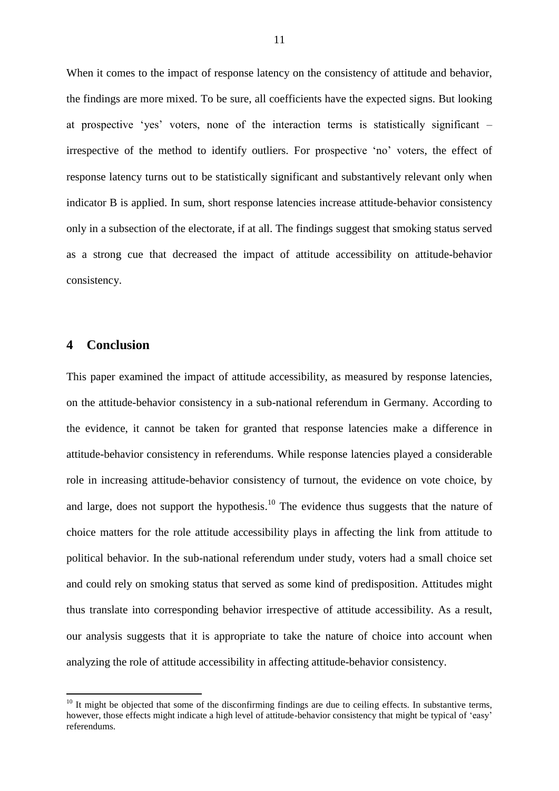When it comes to the impact of response latency on the consistency of attitude and behavior, the findings are more mixed. To be sure, all coefficients have the expected signs. But looking at prospective 'yes' voters, none of the interaction terms is statistically significant – irrespective of the method to identify outliers. For prospective 'no' voters, the effect of response latency turns out to be statistically significant and substantively relevant only when indicator B is applied. In sum, short response latencies increase attitude-behavior consistency only in a subsection of the electorate, if at all. The findings suggest that smoking status served as a strong cue that decreased the impact of attitude accessibility on attitude-behavior consistency.

## **4 Conclusion**

<u>.</u>

This paper examined the impact of attitude accessibility, as measured by response latencies, on the attitude-behavior consistency in a sub-national referendum in Germany. According to the evidence, it cannot be taken for granted that response latencies make a difference in attitude-behavior consistency in referendums. While response latencies played a considerable role in increasing attitude-behavior consistency of turnout, the evidence on vote choice, by and large, does not support the hypothesis. $10$  The evidence thus suggests that the nature of choice matters for the role attitude accessibility plays in affecting the link from attitude to political behavior. In the sub-national referendum under study, voters had a small choice set and could rely on smoking status that served as some kind of predisposition. Attitudes might thus translate into corresponding behavior irrespective of attitude accessibility. As a result, our analysis suggests that it is appropriate to take the nature of choice into account when analyzing the role of attitude accessibility in affecting attitude-behavior consistency.

 $10$  It might be objected that some of the disconfirming findings are due to ceiling effects. In substantive terms, however, those effects might indicate a high level of attitude-behavior consistency that might be typical of 'easy' referendums.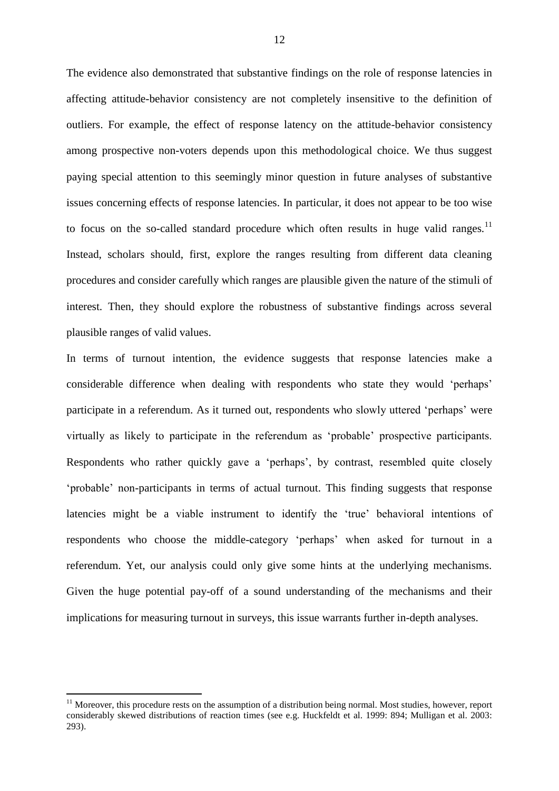The evidence also demonstrated that substantive findings on the role of response latencies in affecting attitude-behavior consistency are not completely insensitive to the definition of outliers. For example, the effect of response latency on the attitude-behavior consistency among prospective non-voters depends upon this methodological choice. We thus suggest paying special attention to this seemingly minor question in future analyses of substantive issues concerning effects of response latencies. In particular, it does not appear to be too wise to focus on the so-called standard procedure which often results in huge valid ranges.<sup>11</sup> Instead, scholars should, first, explore the ranges resulting from different data cleaning procedures and consider carefully which ranges are plausible given the nature of the stimuli of interest. Then, they should explore the robustness of substantive findings across several plausible ranges of valid values.

In terms of turnout intention, the evidence suggests that response latencies make a considerable difference when dealing with respondents who state they would 'perhaps' participate in a referendum. As it turned out, respondents who slowly uttered 'perhaps' were virtually as likely to participate in the referendum as 'probable' prospective participants. Respondents who rather quickly gave a 'perhaps', by contrast, resembled quite closely 'probable' non-participants in terms of actual turnout. This finding suggests that response latencies might be a viable instrument to identify the 'true' behavioral intentions of respondents who choose the middle-category 'perhaps' when asked for turnout in a referendum. Yet, our analysis could only give some hints at the underlying mechanisms. Given the huge potential pay-off of a sound understanding of the mechanisms and their implications for measuring turnout in surveys, this issue warrants further in-depth analyses.

<u>.</u>

 $11$  Moreover, this procedure rests on the assumption of a distribution being normal. Most studies, however, report considerably skewed distributions of reaction times (see e.g. Huckfeldt et al. 1999: 894; Mulligan et al. 2003: 293).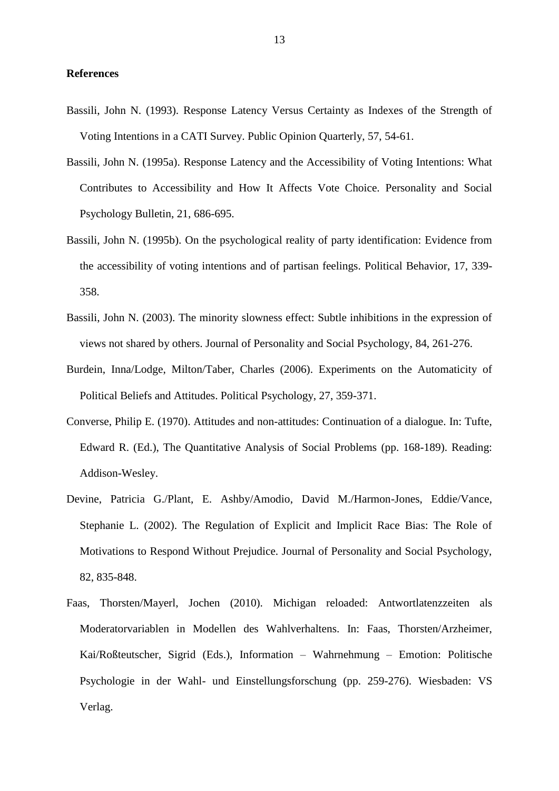#### **References**

- Bassili, John N. (1993). Response Latency Versus Certainty as Indexes of the Strength of Voting Intentions in a CATI Survey. Public Opinion Quarterly, 57, 54-61.
- Bassili, John N. (1995a). Response Latency and the Accessibility of Voting Intentions: What Contributes to Accessibility and How It Affects Vote Choice. Personality and Social Psychology Bulletin, 21, 686-695.
- Bassili, John N. (1995b). On the psychological reality of party identification: Evidence from the accessibility of voting intentions and of partisan feelings. Political Behavior, 17, 339- 358.
- Bassili, John N. (2003). The minority slowness effect: Subtle inhibitions in the expression of views not shared by others. Journal of Personality and Social Psychology, 84, 261-276.
- Burdein, Inna/Lodge, Milton/Taber, Charles (2006). Experiments on the Automaticity of Political Beliefs and Attitudes. Political Psychology, 27, 359-371.
- Converse, Philip E. (1970). Attitudes and non-attitudes: Continuation of a dialogue. In: Tufte, Edward R. (Ed.), The Quantitative Analysis of Social Problems (pp. 168-189). Reading: Addison-Wesley.
- Devine, Patricia G./Plant, E. Ashby/Amodio, David M./Harmon-Jones, Eddie/Vance, Stephanie L. (2002). The Regulation of Explicit and Implicit Race Bias: The Role of Motivations to Respond Without Prejudice. Journal of Personality and Social Psychology, 82, 835-848.
- Faas, Thorsten/Mayerl, Jochen (2010). Michigan reloaded: Antwortlatenzzeiten als Moderatorvariablen in Modellen des Wahlverhaltens. In: Faas, Thorsten/Arzheimer, Kai/Roßteutscher, Sigrid (Eds.), Information – Wahrnehmung – Emotion: Politische Psychologie in der Wahl- und Einstellungsforschung (pp. 259-276). Wiesbaden: VS Verlag.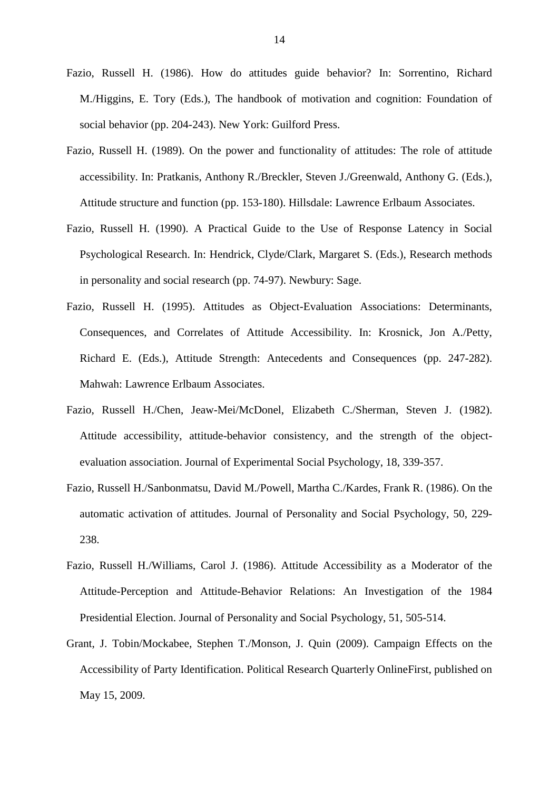- Fazio, Russell H. (1986). How do attitudes guide behavior? In: Sorrentino, Richard M./Higgins, E. Tory (Eds.), The handbook of motivation and cognition: Foundation of social behavior (pp. 204-243). New York: Guilford Press.
- Fazio, Russell H. (1989). On the power and functionality of attitudes: The role of attitude accessibility. In: Pratkanis, Anthony R./Breckler, Steven J./Greenwald, Anthony G. (Eds.), Attitude structure and function (pp. 153-180). Hillsdale: Lawrence Erlbaum Associates.
- Fazio, Russell H. (1990). A Practical Guide to the Use of Response Latency in Social Psychological Research. In: Hendrick, Clyde/Clark, Margaret S. (Eds.), Research methods in personality and social research (pp. 74-97). Newbury: Sage.
- Fazio, Russell H. (1995). Attitudes as Object-Evaluation Associations: Determinants, Consequences, and Correlates of Attitude Accessibility. In: Krosnick, Jon A./Petty, Richard E. (Eds.), Attitude Strength: Antecedents and Consequences (pp. 247-282). Mahwah: Lawrence Erlbaum Associates.
- Fazio, Russell H./Chen, Jeaw-Mei/McDonel, Elizabeth C./Sherman, Steven J. (1982). Attitude accessibility, attitude-behavior consistency, and the strength of the objectevaluation association. Journal of Experimental Social Psychology, 18, 339-357.
- Fazio, Russell H./Sanbonmatsu, David M./Powell, Martha C./Kardes, Frank R. (1986). On the automatic activation of attitudes. Journal of Personality and Social Psychology, 50, 229- 238.
- Fazio, Russell H./Williams, Carol J. (1986). Attitude Accessibility as a Moderator of the Attitude-Perception and Attitude-Behavior Relations: An Investigation of the 1984 Presidential Election. Journal of Personality and Social Psychology, 51, 505-514.
- Grant, J. Tobin/Mockabee, Stephen T./Monson, J. Quin (2009). Campaign Effects on the Accessibility of Party Identification. Political Research Quarterly OnlineFirst, published on May 15, 2009.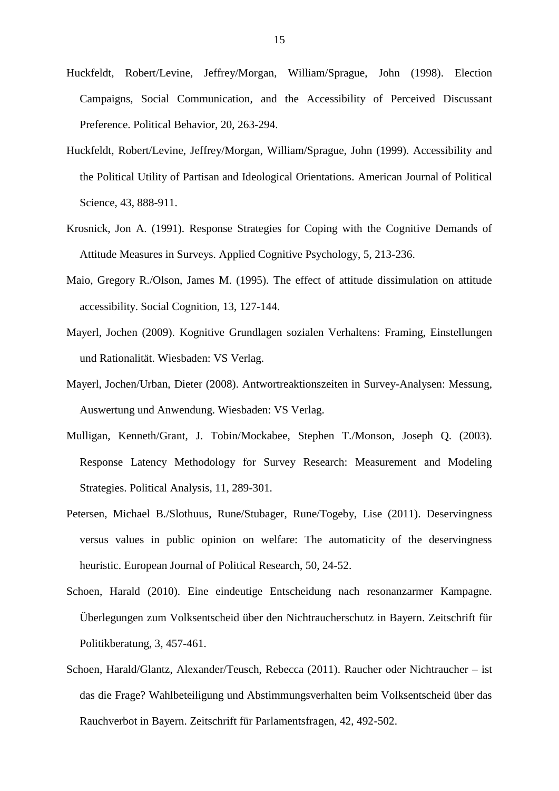- Huckfeldt, Robert/Levine, Jeffrey/Morgan, William/Sprague, John (1998). Election Campaigns, Social Communication, and the Accessibility of Perceived Discussant Preference. Political Behavior, 20, 263-294.
- Huckfeldt, Robert/Levine, Jeffrey/Morgan, William/Sprague, John (1999). Accessibility and the Political Utility of Partisan and Ideological Orientations. American Journal of Political Science, 43, 888-911.
- Krosnick, Jon A. (1991). Response Strategies for Coping with the Cognitive Demands of Attitude Measures in Surveys. Applied Cognitive Psychology, 5, 213-236.
- Maio, Gregory R./Olson, James M. (1995). The effect of attitude dissimulation on attitude accessibility. Social Cognition, 13, 127-144.
- Mayerl, Jochen (2009). Kognitive Grundlagen sozialen Verhaltens: Framing, Einstellungen und Rationalität. Wiesbaden: VS Verlag.
- Mayerl, Jochen/Urban, Dieter (2008). Antwortreaktionszeiten in Survey-Analysen: Messung, Auswertung und Anwendung. Wiesbaden: VS Verlag.
- Mulligan, Kenneth/Grant, J. Tobin/Mockabee, Stephen T./Monson, Joseph Q. (2003). Response Latency Methodology for Survey Research: Measurement and Modeling Strategies. Political Analysis, 11, 289-301.
- Petersen, Michael B./Slothuus, Rune/Stubager, Rune/Togeby, Lise (2011). Deservingness versus values in public opinion on welfare: The automaticity of the deservingness heuristic. European Journal of Political Research, 50, 24-52.
- Schoen, Harald (2010). Eine eindeutige Entscheidung nach resonanzarmer Kampagne. Überlegungen zum Volksentscheid über den Nichtraucherschutz in Bayern. Zeitschrift für Politikberatung, 3, 457-461.
- Schoen, Harald/Glantz, Alexander/Teusch, Rebecca (2011). Raucher oder Nichtraucher ist das die Frage? Wahlbeteiligung und Abstimmungsverhalten beim Volksentscheid über das Rauchverbot in Bayern. Zeitschrift für Parlamentsfragen, 42, 492-502.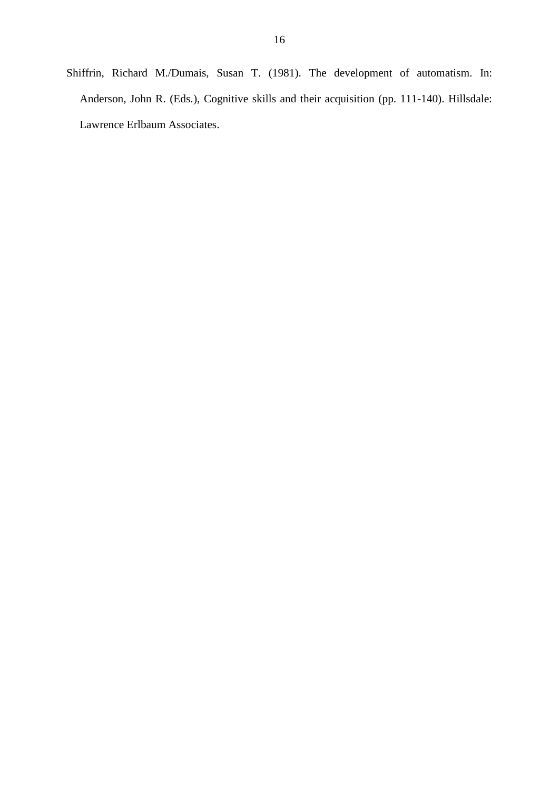Shiffrin, Richard M./Dumais, Susan T. (1981). The development of automatism. In: Anderson, John R. (Eds.), Cognitive skills and their acquisition (pp. 111-140). Hillsdale: Lawrence Erlbaum Associates.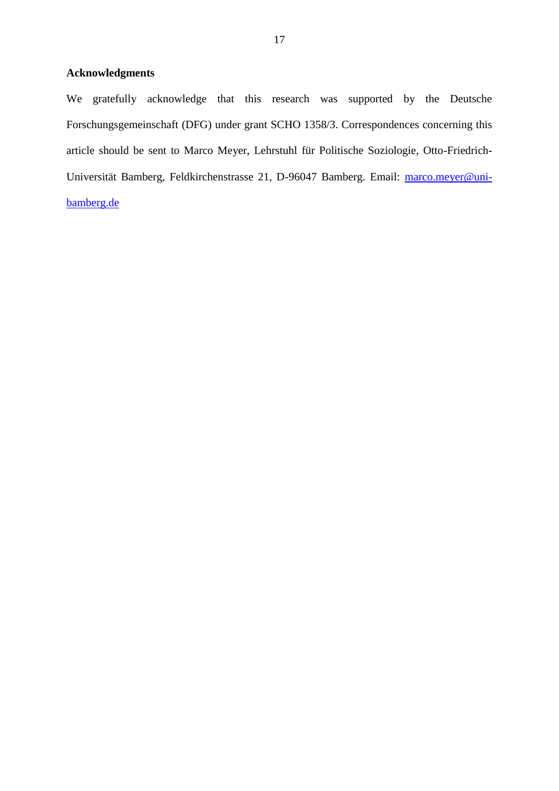## **Acknowledgments**

We gratefully acknowledge that this research was supported by the Deutsche Forschungsgemeinschaft (DFG) under grant SCHO 1358/3. Correspondences concerning this article should be sent to Marco Meyer, Lehrstuhl für Politische Soziologie, Otto-Friedrich-Universität Bamberg, Feldkirchenstrasse 21, D-96047 Bamberg. Email: [marco.meyer@uni](mailto:marco.meyer@uni-bamberg.de)[bamberg.de](mailto:marco.meyer@uni-bamberg.de)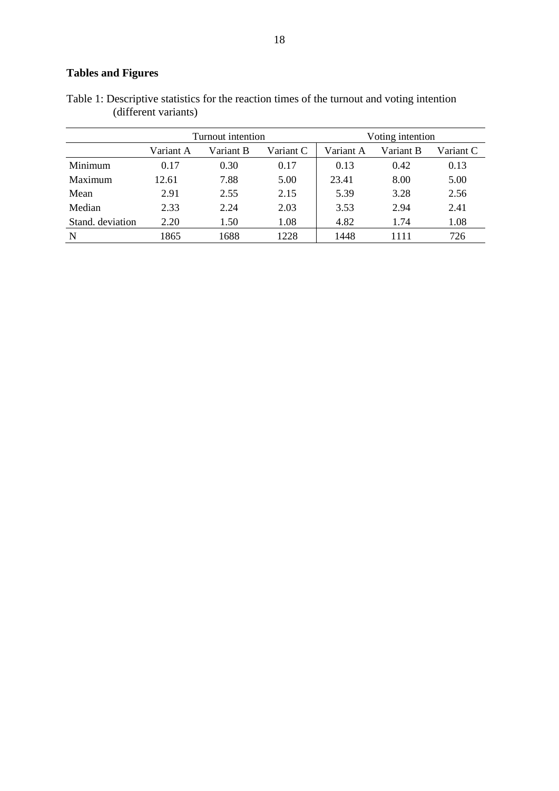# **Tables and Figures**

| Table 1: Descriptive statistics for the reaction times of the turnout and voting intention |  |  |
|--------------------------------------------------------------------------------------------|--|--|
| (different variants)                                                                       |  |  |

|                  |           | Turnout intention |           | Voting intention |           |           |  |
|------------------|-----------|-------------------|-----------|------------------|-----------|-----------|--|
|                  | Variant A | Variant B         | Variant C | Variant A        | Variant B | Variant C |  |
| Minimum          | 0.17      | 0.30              | 0.17      | 0.13             | 0.42      | 0.13      |  |
| Maximum          | 12.61     | 7.88              | 5.00      | 23.41            | 8.00      | 5.00      |  |
| Mean             | 2.91      | 2.55              | 2.15      | 5.39             | 3.28      | 2.56      |  |
| Median           | 2.33      | 2.24              | 2.03      | 3.53             | 2.94      | 2.41      |  |
| Stand, deviation | 2.20      | 1.50              | 1.08      | 4.82             | 1.74      | 1.08      |  |
| N                | 1865      | 1688              | 1228      | 1448             | 1111      | 726       |  |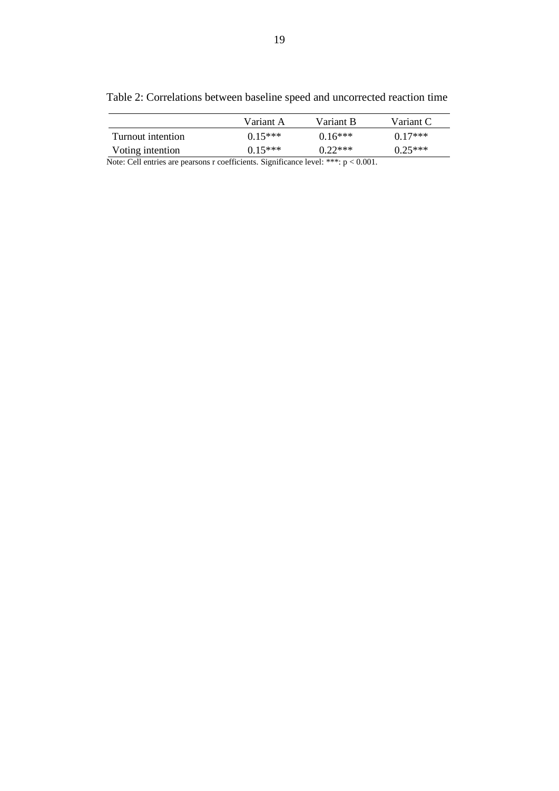| ×<br>۰<br>ę<br>۰, |
|-------------------|
|                   |

|                   | Variant A | Variant B | Variant C |
|-------------------|-----------|-----------|-----------|
| Turnout intention | $0.15***$ | $0.16***$ | $0.17***$ |
| Voting intention  | $0.15***$ | $0.22***$ | $0.25***$ |

Table 2: Correlations between baseline speed and uncorrected reaction time

Note: Cell entries are pearsons r coefficients. Significance level: \*\*\*: p < 0.001.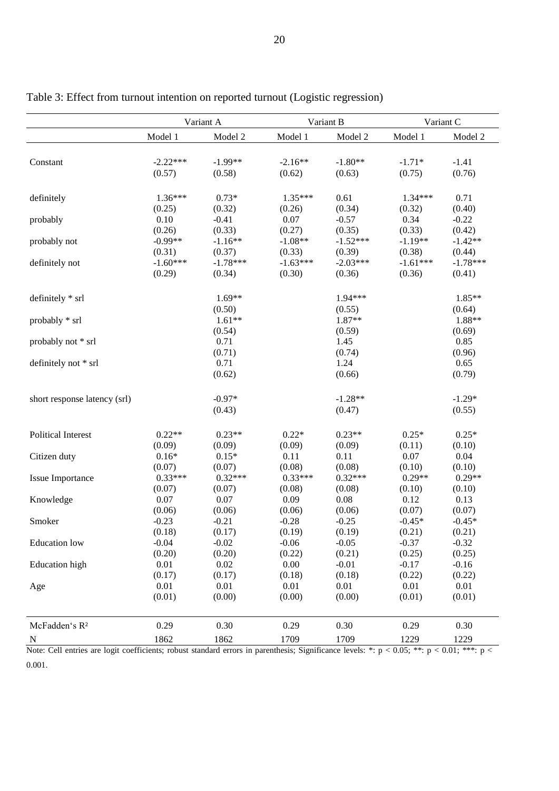|                              | Variant A         |                    |                   | Variant B         | Variant C          |                    |
|------------------------------|-------------------|--------------------|-------------------|-------------------|--------------------|--------------------|
|                              | Model 1           | Model 2            | Model 1           | Model 2           | Model 1            | Model 2            |
|                              |                   |                    |                   |                   |                    |                    |
| Constant                     | $-2.22***$        | $-1.99**$          | $-2.16**$         | $-1.80**$         | $-1.71*$           | $-1.41$            |
|                              | (0.57)            | (0.58)             | (0.62)            | (0.63)            | (0.75)             | (0.76)             |
|                              |                   |                    |                   |                   |                    |                    |
| definitely                   | 1.36***           | $0.73*$            | 1.35***           | 0.61              | $1.34***$          | 0.71               |
|                              | (0.25)            | (0.32)             | (0.26)            | (0.34)            | (0.32)             | (0.40)             |
| probably                     | 0.10              | $-0.41$            | 0.07              | $-0.57$           | 0.34               | $-0.22$            |
|                              | (0.26)            | (0.33)             | (0.27)            | (0.35)            | (0.33)             | (0.42)             |
| probably not                 | $-0.99**$         | $-1.16**$          | $-1.08**$         | $-1.52***$        | $-1.19**$          | $-1.42**$          |
|                              | (0.31)            | (0.37)             | (0.33)            | (0.39)            | (0.38)             | (0.44)             |
| definitely not               | $-1.60***$        | $-1.78***$         | $-1.63***$        | $-2.03***$        | $-1.61***$         | $-1.78***$         |
|                              | (0.29)            | (0.34)             | (0.30)            | (0.36)            | (0.36)             | (0.41)             |
|                              |                   |                    |                   |                   |                    |                    |
| definitely * srl             |                   | $1.69**$           |                   | $1.94***$         |                    | 1.85**             |
|                              |                   | (0.50)<br>$1.61**$ |                   | (0.55)<br>1.87**  |                    | (0.64)<br>1.88**   |
| probably * srl               |                   | (0.54)             |                   | (0.59)            |                    | (0.69)             |
| probably not * srl           |                   | 0.71               |                   | 1.45              |                    | 0.85               |
|                              |                   | (0.71)             |                   | (0.74)            |                    | (0.96)             |
| definitely not * srl         |                   | 0.71               |                   | 1.24              |                    | 0.65               |
|                              |                   | (0.62)             |                   | (0.66)            |                    | (0.79)             |
|                              |                   |                    |                   |                   |                    |                    |
| short response latency (srl) |                   | $-0.97*$           |                   | $-1.28**$         |                    | $-1.29*$           |
|                              |                   | (0.43)             |                   | (0.47)            |                    | (0.55)             |
|                              |                   |                    |                   |                   |                    |                    |
| <b>Political Interest</b>    | $0.22**$          | $0.23**$           | $0.22*$           | $0.23**$          | $0.25*$            | $0.25*$            |
|                              | (0.09)            | (0.09)             | (0.09)            | (0.09)            | (0.11)             | (0.10)             |
| Citizen duty                 | $0.16*$           | $0.15*$            | 0.11              | 0.11              | 0.07               | 0.04               |
|                              | (0.07)            | (0.07)             | (0.08)            | (0.08)            | (0.10)             | (0.10)             |
| Issue Importance             | $0.33***$         | $0.32***$          | $0.33***$         | $0.32***$         | $0.29**$           | $0.29**$           |
|                              | (0.07)            | (0.07)             | (0.08)            | (0.08)            | (0.10)             | (0.10)             |
| Knowledge                    | 0.07              | 0.07               | 0.09              | 0.08              | 0.12               | 0.13               |
| Smoker                       | (0.06)<br>$-0.23$ | (0.06)             | (0.06)<br>$-0.28$ | (0.06)            | (0.07)<br>$-0.45*$ | (0.07)<br>$-0.45*$ |
|                              | (0.18)            | $-0.21$<br>(0.17)  | (0.19)            | $-0.25$<br>(0.19) | (0.21)             | (0.21)             |
| <b>Education</b> low         | $-0.04$           | $-0.02$            | $-0.06$           | $-0.05$           | $-0.37$            | $-0.32$            |
|                              | (0.20)            | (0.20)             | (0.22)            | (0.21)            | (0.25)             | (0.25)             |
| <b>Education</b> high        | 0.01              | 0.02               | 0.00              | $-0.01$           | $-0.17$            | $-0.16$            |
|                              | (0.17)            | (0.17)             | (0.18)            | (0.18)            | (0.22)             | (0.22)             |
| Age                          | 0.01              | 0.01               | 0.01              | 0.01              | 0.01               | 0.01               |
|                              | (0.01)            | (0.00)             | (0.00)            | (0.00)            | (0.01)             | (0.01)             |
|                              |                   |                    |                   |                   |                    |                    |
| McFadden's R <sup>2</sup>    | 0.29              | 0.30               | 0.29              | 0.30              | 0.29               | 0.30               |
|                              | 1862              | 1862               | 1709              | 1709              | 1229               | 1229               |
| $\mathbf N$                  |                   |                    |                   |                   |                    |                    |

Table 3: Effect from turnout intention on reported turnout (Logistic regression)

Note: Cell entries are logit coefficients; robust standard errors in parenthesis; Significance levels: \*: p < 0.05; \*\*: p < 0.01; \*\*\*: p < 0.001.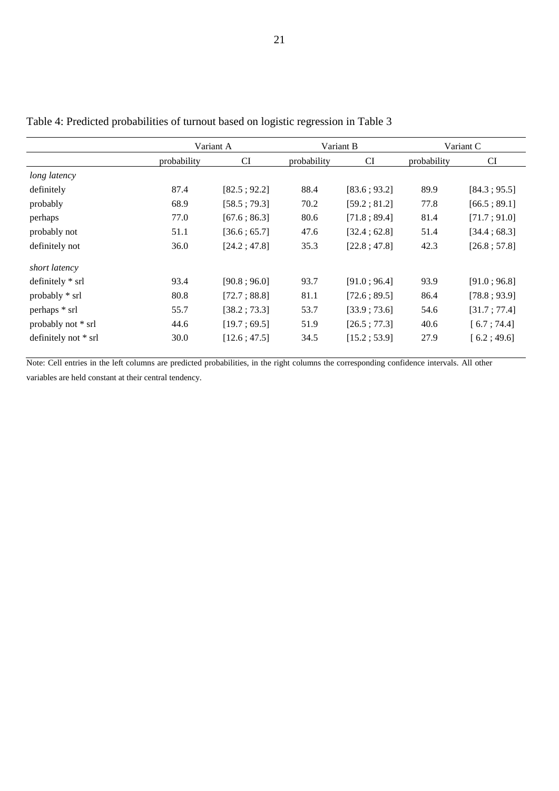|                      | Variant A   |              |             | Variant B    | Variant C   |              |
|----------------------|-------------|--------------|-------------|--------------|-------------|--------------|
|                      | probability | <b>CI</b>    | probability | CI           | probability | CI           |
| long latency         |             |              |             |              |             |              |
| definitely           | 87.4        | [82.5; 92.2] | 88.4        | [83.6; 93.2] | 89.9        | [84.3; 95.5] |
| probably             | 68.9        | [58.5; 79.3] | 70.2        | [59.2; 81.2] | 77.8        | [66.5:89.1]  |
| perhaps              | 77.0        | [67.6; 86.3] | 80.6        | [71.8; 89.4] | 81.4        | [71.7; 91.0] |
| probably not         | 51.1        | [36.6:65.7]  | 47.6        | [32.4; 62.8] | 51.4        | [34.4; 68.3] |
| definitely not       | 36.0        | [24.2; 47.8] | 35.3        | [22.8:47.8]  | 42.3        | [26.8; 57.8] |
| short latency        |             |              |             |              |             |              |
| definitely * srl     | 93.4        | [90.8; 96.0] | 93.7        | [91.0; 96.4] | 93.9        | [91.0; 96.8] |
| probably * srl       | 80.8        | [72.7; 88.8] | 81.1        | [72.6:89.5]  | 86.4        | [78.8; 93.9] |
| perhaps * srl        | 55.7        | [38.2; 73.3] | 53.7        | [33.9:73.6]  | 54.6        | [31.7; 77.4] |
| probably not * srl   | 44.6        | [19.7; 69.5] | 51.9        | [26.5; 77.3] | 40.6        | [6.7:74.4]   |
| definitely not * srl | 30.0        | [12.6; 47.5] | 34.5        | [15.2; 53.9] | 27.9        | [6.2; 49.6]  |

Table 4: Predicted probabilities of turnout based on logistic regression in Table 3

Note: Cell entries in the left columns are predicted probabilities, in the right columns the corresponding confidence intervals. All other variables are held constant at their central tendency.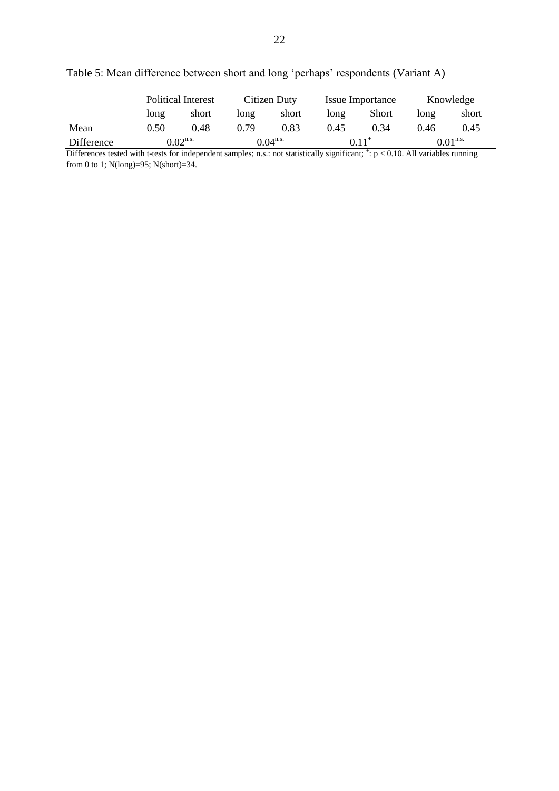|            |      | <b>Political Interest</b> |      | Citizen Duty  |      | Issue Importance |      | Knowledge              |  |
|------------|------|---------------------------|------|---------------|------|------------------|------|------------------------|--|
|            | long | short                     | long | short         | long | <b>Short</b>     | long | short                  |  |
| Mean       | 0.50 | 0.48                      | 0.79 | 0.83          | 0.45 | 0.34             | 0.46 | 0.45                   |  |
| Difference |      | $0.02$ <sup>n.s.</sup>    |      | $0.04^{n.s.}$ |      | $0.11^{+}$       |      | $0.01$ <sup>n.s.</sup> |  |

Table 5: Mean difference between short and long 'perhaps' respondents (Variant A)

Differences tested with t-tests for independent samples; n.s.: not statistically significant;  $\dot{z}$ :  $p < 0.10$ . All variables running from 0 to 1; N(long)=95; N(short)=34.